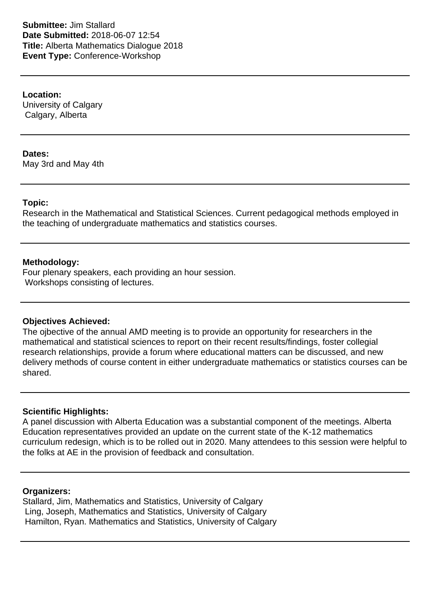**Submittee:** Jim Stallard **Date Submitted:** 2018-06-07 12:54 **Title:** Alberta Mathematics Dialogue 2018 **Event Type:** Conference-Workshop

**Location:**

University of Calgary Calgary, Alberta

**Dates:**

May 3rd and May 4th

### **Topic:**

Research in the Mathematical and Statistical Sciences. Current pedagogical methods employed in the teaching of undergraduate mathematics and statistics courses.

### **Methodology:**

Four plenary speakers, each providing an hour session. Workshops consisting of lectures.

#### **Objectives Achieved:**

The ojbective of the annual AMD meeting is to provide an opportunity for researchers in the mathematical and statistical sciences to report on their recent results/findings, foster collegial research relationships, provide a forum where educational matters can be discussed, and new delivery methods of course content in either undergraduate mathematics or statistics courses can be shared.

## **Scientific Highlights:**

A panel discussion with Alberta Education was a substantial component of the meetings. Alberta Education representatives provided an update on the current state of the K-12 mathematics curriculum redesign, which is to be rolled out in 2020. Many attendees to this session were helpful to the folks at AE in the provision of feedback and consultation.

#### **Organizers:**

Stallard, Jim, Mathematics and Statistics, University of Calgary Ling, Joseph, Mathematics and Statistics, University of Calgary Hamilton, Ryan. Mathematics and Statistics, University of Calgary